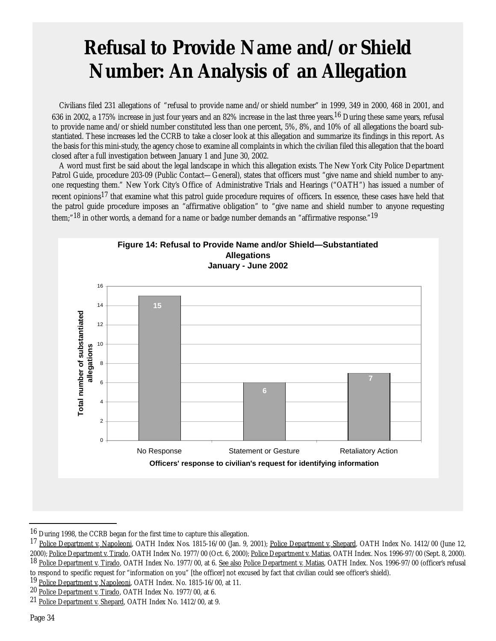## **Refusal to Provide Name and/or Shield Number: An Analysis of an Allegation**

Civilians filed 231 allegations of "refusal to provide name and/or shield number" in 1999, 349 in 2000, 468 in 2001, and 636 in 2002, a 175% increase in just four years and an 82% increase in the last three years.16 During these same years, refusal to provide name and/or shield number constituted less than one percent, 5%, 8%, and 10% of all allegations the board substantiated. These increases led the CCRB to take a closer look at this allegation and summarize its findings in this report. As the basis for this mini-study, the agency chose to examine all complaints in which the civilian filed this allegation that the board closed after a full investigation between January 1 and June 30, 2002.

A word must first be said about the legal landscape in which this allegation exists. The New York City Police Department Patrol Guide, procedure 203-09 (Public Contact—General), states that officers must "give name and shield number to anyone requesting them." New York City's Office of Administrative Trials and Hearings ("OATH") has issued a number of recent opinions<sup>17</sup> that examine what this patrol guide procedure requires of officers. In essence, these cases have held that the patrol guide procedure imposes an "affirmative obligation" to "give name and shield number to anyone requesting them;"<sup>18</sup> in other words, a demand for a name or badge number demands an "affirmative response."<sup>19</sup>



<sup>16</sup> During 1998, the CCRB began for the first time to capture this allegation.

<sup>17</sup> Police Department v. Napoleoni, OATH Index Nos. 1815-16/00 (Jan. 9, 2001); Police Department v. Shepard, OATH Index No. 1412/00 (June 12, 2000); Police Department v. Tirado, OATH Index No. 1977/00 (Oct. 6, 2000); Police Department v. Matias, OATH Index. Nos. 1996-97/00 (Sept. 8, 2000). <sup>18</sup> Police Department v. Tirado, OATH Index No. 1977/00, at 6. See also Police Department v. Matias, OATH Index. Nos. 1996-97/00 (officer's refusal to respond to specific request for "information on you" [the officer] not excused by fact that civilian could see officer's shield).

<sup>&</sup>lt;sup>19</sup> Police Department v. Napoleoni, OATH Index. No. 1815-16/00, at 11.

<sup>&</sup>lt;sup>20</sup> Police Department v. Tirado, OATH Index No. 1977/00, at 6.

<sup>21</sup> Police Department v. Shepard, OATH Index No. 1412/00, at 9.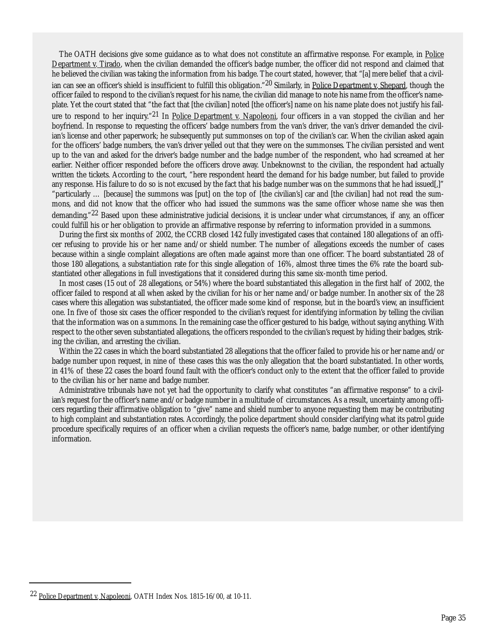The OATH decisions give some guidance as to what does not constitute an affirmative response. For example, in Police Department v. Tirado, when the civilian demanded the officer's badge number, the officer did not respond and claimed that he believed the civilian was taking the information from his badge. The court stated, however, that "[a] mere belief that a civilian can see an officer's shield is insufficient to fulfill this obligation."<sup>20</sup> Similarly, in Police Department v. Shepard, though the officer failed to respond to the civilian's request for his name, the civilian did manage to note his name from the officer's nameplate. Yet the court stated that "the fact that [the civilian] noted [the officer's] name on his name plate does not justify his failure to respond to her inquiry."<sup>21</sup> In Police Department v. Napoleoni, four officers in a van stopped the civilian and her boyfriend. In response to requesting the officers' badge numbers from the van's driver, the van's driver demanded the civilian's license and other paperwork; he subsequently put summonses on top of the civilian's car. When the civilian asked again for the officers' badge numbers, the van's driver yelled out that they were on the summonses. The civilian persisted and went up to the van and asked for the driver's badge number and the badge number of the respondent, who had screamed at her earlier. Neither officer responded before the officers drove away. Unbeknownst to the civilian, the respondent had actually written the tickets. According to the court, "here respondent heard the demand for his badge number, but failed to provide any response. His failure to do so is not excused by the fact that his badge number was on the summons that he had issued[,]" "particularly … [because] the summons was [put] on the top of [the civilian's] car and [the civilian] had not read the summons, and did not know that the officer who had issued the summons was the same officer whose name she was then demanding."<sup>22</sup> Based upon these administrative judicial decisions, it is unclear under what circumstances, if any, an officer could fulfill his or her obligation to provide an affirmative response by referring to information provided in a summons.

During the first six months of 2002, the CCRB closed 142 fully investigated cases that contained 180 allegations of an officer refusing to provide his or her name and/or shield number. The number of allegations exceeds the number of cases because within a single complaint allegations are often made against more than one officer. The board substantiated 28 of those 180 allegations, a substantiation rate for this single allegation of 16%, almost three times the 6% rate the board substantiated other allegations in full investigations that it considered during this same six-month time period.

In most cases (15 out of 28 allegations, or 54%) where the board substantiated this allegation in the first half of 2002, the officer failed to respond at all when asked by the civilian for his or her name and/or badge number. In another six of the 28 cases where this allegation was substantiated, the officer made some kind of response, but in the board's view, an insufficient one. In five of those six cases the officer responded to the civilian's request for identifying information by telling the civilian that the information was on a summons. In the remaining case the officer gestured to his badge, without saying anything. With respect to the other seven substantiated allegations, the officers responded to the civilian's request by hiding their badges, striking the civilian, and arresting the civilian.

Within the 22 cases in which the board substantiated 28 allegations that the officer failed to provide his or her name and/or badge number upon request, in nine of these cases this was the only allegation that the board substantiated. In other words, in 41% of these 22 cases the board found fault with the officer's conduct only to the extent that the officer failed to provide to the civilian his or her name and badge number.

Administrative tribunals have not yet had the opportunity to clarify what constitutes "an affirmative response" to a civilian's request for the officer's name and/or badge number in a multitude of circumstances. As a result, uncertainty among officers regarding their affirmative obligation to "give" name and shield number to anyone requesting them may be contributing to high complaint and substantiation rates. Accordingly, the police department should consider clarifying what its patrol guide procedure specifically requires of an officer when a civilian requests the officer's name, badge number, or other identifying information.

<sup>&</sup>lt;sup>22</sup> Police Department v. Napoleoni, OATH Index Nos. 1815-16/00, at 10-11.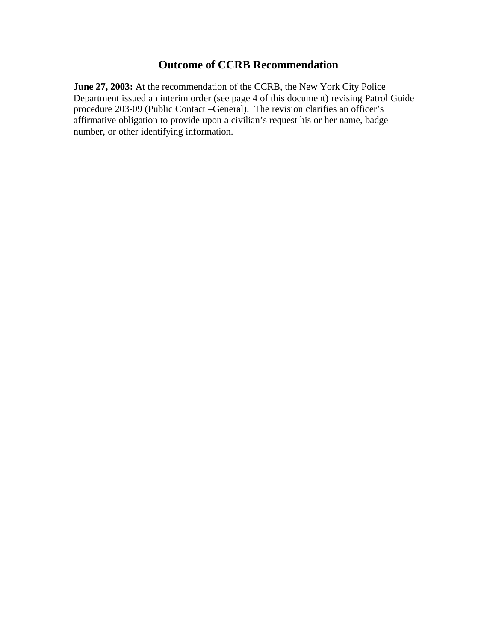## **Outcome of CCRB Recommendation**

**June 27, 2003:** At the recommendation of the CCRB, the New York City Police Department issued an interim order (see page 4 of this document) revising Patrol Guide procedure 203-09 (Public Contact –General). The revision clarifies an officer's affirmative obligation to provide upon a civilian's request his or her name, badge number, or other identifying information.